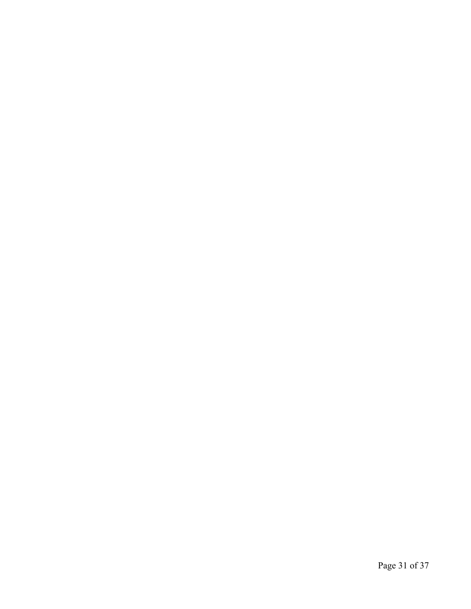Page 31 of 37

**Revised On File Page 31 of 37**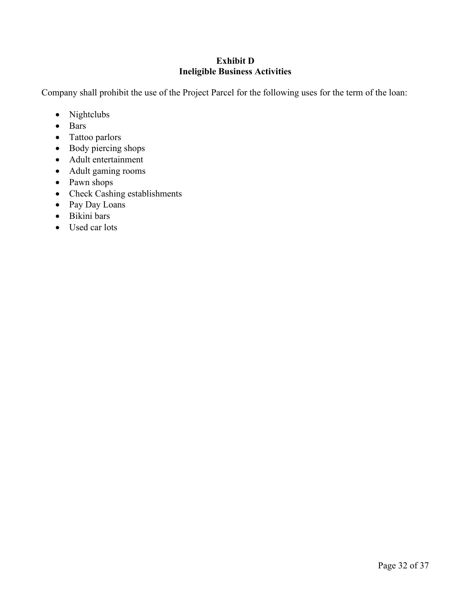## **Exhibit D Ineligible Business Activities**

Company shall prohibit the use of the Project Parcel for the following uses for the term of the loan:

- Nightclubs
- Bars
- Tattoo parlors
- Body piercing shops
- Adult entertainment
- Adult gaming rooms
- Pawn shops
- Check Cashing establishments
- Pay Day Loans
- Bikini bars
- Used car lots

Page 32 of 37

**Revised On File Page 32 of 37**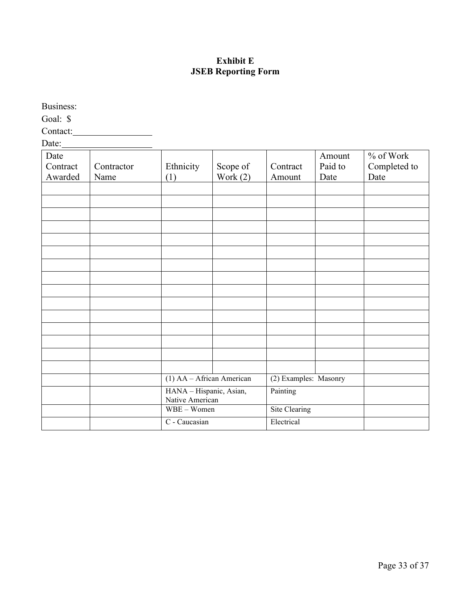## **Exhibit E JSEB Reporting Form**

Business: Goal: \$ Contact: Date: Date **Contract** Awarded Contractor Name Ethnicity (1) Scope of Work  $(2)$ **Contract** Amount Amount Paid to Date % of Work Completed to Date (1) AA – African American (2) Examples: Masonry HANA – Hispanic, Asian, Native American Painting WBE – Women Site Clearing C - Caucasian Electrical

Page 33 of 37

**Revised On File Page 33 of 37**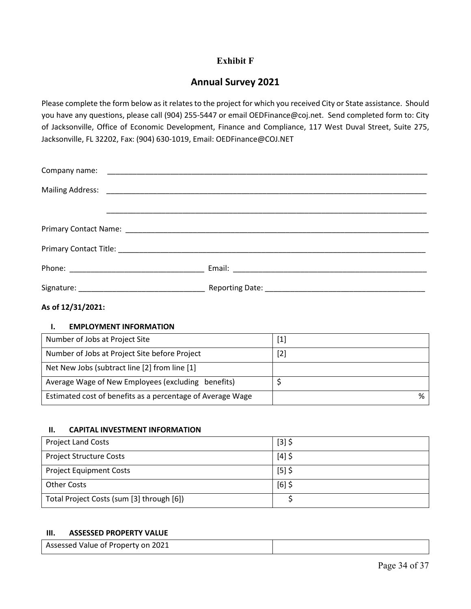# **Exhibit F**

# **Annual Survey 2021**

Please complete the form below as it relates to the project for which you received City or State assistance. Should you have any questions, please call (904) 255-5447 or email OEDFinance@coj.net. Send completed form to: City of Jacksonville, Office of Economic Development, Finance and Compliance, 117 West Duval Street, Suite 275, Jacksonville, FL 32202, Fax: (904) 630-1019, Email: OEDFinance@COJ.NET

### **As of 12/31/2021:**

#### **I. EMPLOYMENT INFORMATION**

| Number of Jobs at Project Site                             | $[1]$ |
|------------------------------------------------------------|-------|
| Number of Jobs at Project Site before Project              | $[2]$ |
| Net New Jobs (subtract line [2] from line [1]              |       |
| Average Wage of New Employees (excluding benefits)         |       |
| Estimated cost of benefits as a percentage of Average Wage | %     |

#### **II. CAPITAL INVESTMENT INFORMATION**

| <b>Project Land Costs</b>                 | $[3]$ \$ |
|-------------------------------------------|----------|
| <b>Project Structure Costs</b>            | $[4]$ \$ |
| <b>Project Equipment Costs</b>            | $[5]$ \$ |
| <b>Other Costs</b>                        | $[6]$ \$ |
| Total Project Costs (sum [3] through [6]) |          |

#### **III. ASSESSED PROPERTY VALUE**

| Assessed Value of Property on 2021 |  |
|------------------------------------|--|
|                                    |  |

Page 34 of 37

**Revised On File Page 34 of 37**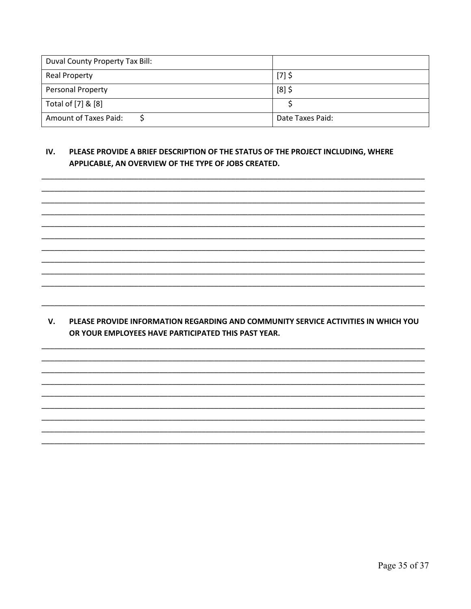| Duval County Property Tax Bill: |                  |
|---------------------------------|------------------|
| <b>Real Property</b>            | $[7]$ \$         |
| <b>Personal Property</b>        | $[8]$ \$         |
| Total of [7] & [8]              |                  |
| <b>Amount of Taxes Paid:</b>    | Date Taxes Paid: |

#### IV. PLEASE PROVIDE A BRIEF DESCRIPTION OF THE STATUS OF THE PROJECT INCLUDING, WHERE APPLICABLE, AN OVERVIEW OF THE TYPE OF JOBS CREATED.

V. PLEASE PROVIDE INFORMATION REGARDING AND COMMUNITY SERVICE ACTIVITIES IN WHICH YOU OR YOUR EMPLOYEES HAVE PARTICIPATED THIS PAST YEAR.

Page 35 of 37

Revised On File Page 35 of 37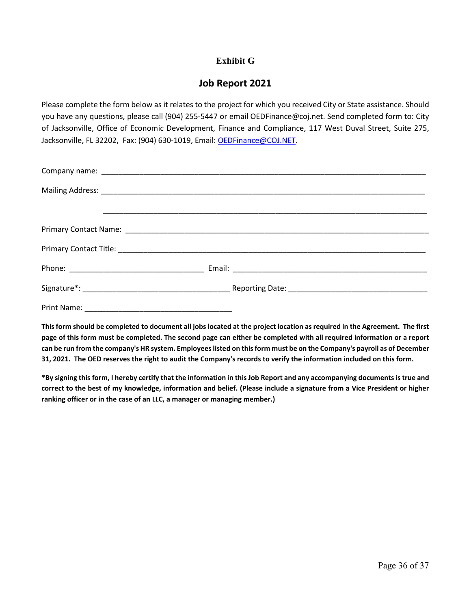## **Exhibit G**

# **Job Report 2021**

Please complete the form below as it relates to the project for which you received City or State assistance. Should you have any questions, please call (904) 255-5447 or email OEDFinance@coj.net. Send completed form to: City of Jacksonville, Office of Economic Development, Finance and Compliance, 117 West Duval Street, Suite 275, Jacksonville, FL 32202, Fax: (904) 630-1019, Email: [OEDFinance@COJ.NET.](mailto:OEDFinance@COJ.NET)

**This form should be completed to document all jobs located at the project location as required in the Agreement. The first page of this form must be completed. The second page can either be completed with all required information or a report can be run from the company's HR system. Employees listed on this form must be on the Company's payroll as of December 31, 2021. The OED reserves the right to audit the Company's records to verify the information included on this form.** 

**\*By signing this form, I hereby certify that the information in this Job Report and any accompanying documents is true and correct to the best of my knowledge, information and belief. (Please include a signature from a Vice President or higher ranking officer or in the case of an LLC, a manager or managing member.)**

Page 36 of 37

**Revised On File Page 36 of 37**